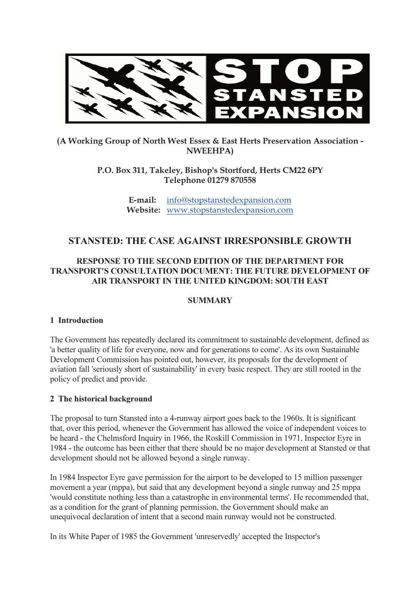

# (A Working Group of North West Essex & East Herts Preservation Association - NWEEHPA)

P.O. Box 311, Takeley, Bishop's Stortford, Herts CM22 6PY Telephone 01279 870558

> E-mail: info@stopstanstedexpansion.com Website: www.stopstanstedexpansion.com

# STANSTED: THE CASE AGAINST IRRESPONSIBLE GROWTH

# RESPONSE TO THE SECOND EDITION OF THE DEPARTMENT FOR TRANSPORT'S CONSULTATION DOCUMENT: THE FUTURE DEVELOPMENT OF AIR TRANSPORT IN THE UNITED KINGDOM: SOUTH EAST

#### **SUMMARY**

### 1 Introduction

The Government has repeatedly declared its commitment to sustainable development, defined as 'a better quality of life for everyone, now and for generations to come'. As its own Sustainable Development Commission has pointed out, however, its proposals for the development of aviation fall 'seriously short of sustainability' in every basic respect. They are still rooted in the policy of predict and provide.

### 2 The historical background

The proposal to turn Stansted into a 4-runway airport goes back to the 1960s. It is significant that, over this period, whenever the Government has allowed the voice of independent voices to be heard - the Chelmsford Inquiry in 1966, the Roskill Commission in 1971, Inspector Eyre in 1984 - the outcome has been either that there should be no major development at Stansted or that development should not be allowed beyond a single runway.

In 1984 Inspector Eyre gave permission for the airport to be developed to 15 million passenger movement a year (mppa), but said that any development beyond a single runway and 25 mppa 'would constitute nothing less than a catastrophe in environmental terms'. He recommended that, as a condition for the grant of planning permission, the Government should make an unequivocal declaration of intent that a second main runway would not be constructed.

In its White Paper of 1985 the Government 'unreservedly' accepted the Inspector's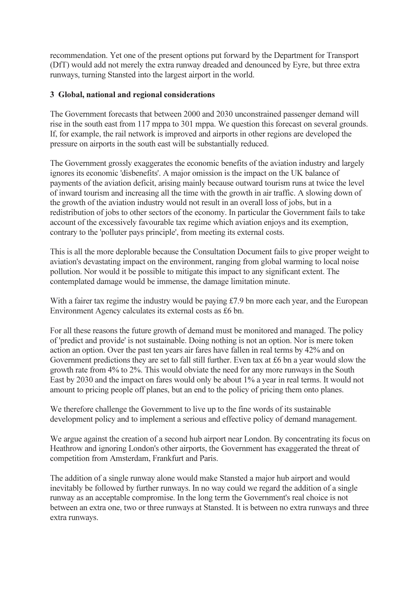recommendation. Yet one of the present options put forward by the Department for Transport (DfT) would add not merely the extra runway dreaded and denounced by Eyre, but three extra runways, turning Stansted into the largest airport in the world.

#### 3 Global, national and regional considerations

The Government forecasts that between 2000 and 2030 unconstrained passenger demand will rise in the south east from 117 mppa to 301 mppa. We question this forecast on several grounds. If, for example, the rail network is improved and airports in other regions are developed the pressure on airports in the south east will be substantially reduced.

The Government grossly exaggerates the economic benefits of the aviation industry and largely ignores its economic 'disbenefits'. A major omission is the impact on the UK balance of payments of the aviation deficit, arising mainly because outward tourism runs at twice the level of inward tourism and increasing all the time with the growth in air traffic. A slowing down of the growth of the aviation industry would not result in an overall loss of jobs, but in a redistribution of jobs to other sectors of the economy. In particular the Government fails to take account of the excessively favourable tax regime which aviation enjoys and its exemption, contrary to the 'polluter pays principle', from meeting its external costs.

This is all the more deplorable because the Consultation Document fails to give proper weight to aviation's devastating impact on the environment, ranging from global warming to local noise pollution. Nor would it be possible to mitigate this impact to any significant extent. The contemplated damage would be immense, the damage limitation minute.

With a fairer tax regime the industry would be paying £7.9 bn more each year, and the European Environment Agency calculates its external costs as £6 bn.

For all these reasons the future growth of demand must be monitored and managed. The policy of 'predict and provide' is not sustainable. Doing nothing is not an option. Nor is mere token action an option. Over the past ten years air fares have fallen in real terms by 42% and on Government predictions they are set to fall still further. Even tax at £6 bn a year would slow the growth rate from 4% to 2%. This would obviate the need for any more runways in the South East by 2030 and the impact on fares would only be about 1% a year in real terms. It would not amount to pricing people off planes, but an end to the policy of pricing them onto planes.

We therefore challenge the Government to live up to the fine words of its sustainable development policy and to implement a serious and effective policy of demand management.

We argue against the creation of a second hub airport near London. By concentrating its focus on Heathrow and ignoring London's other airports, the Government has exaggerated the threat of competition from Amsterdam, Frankfurt and Paris.

The addition of a single runway alone would make Stansted a major hub airport and would inevitably be followed by further runways. In no way could we regard the addition of a single runway as an acceptable compromise. In the long term the Government's real choice is not between an extra one, two or three runways at Stansted. It is between no extra runways and three extra runways.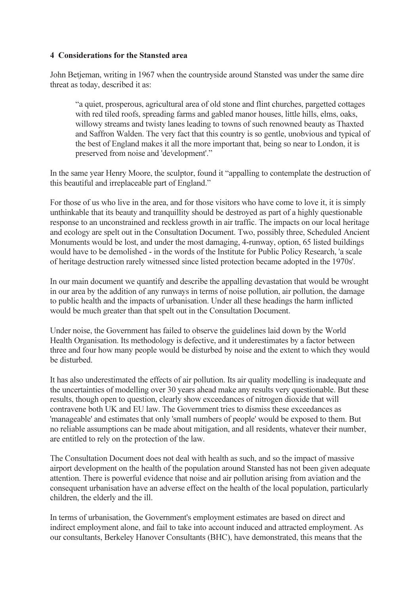#### 4 Considerations for the Stansted area

John Betjeman, writing in 1967 when the countryside around Stansted was under the same dire threat as today, described it as:

"a quiet, prosperous, agricultural area of old stone and flint churches, pargetted cottages with red tiled roofs, spreading farms and gabled manor houses, little hills, elms, oaks, willowy streams and twisty lanes leading to towns of such renowned beauty as Thaxted and Saffron Walden. The very fact that this country is so gentle, unobvious and typical of the best of England makes it all the more important that, being so near to London, it is preserved from noise and 'development'."

In the same year Henry Moore, the sculptor, found it "appalling to contemplate the destruction of this beautiful and irreplaceable part of England."

For those of us who live in the area, and for those visitors who have come to love it, it is simply unthinkable that its beauty and tranquillity should be destroyed as part of a highly questionable response to an unconstrained and reckless growth in air traffic. The impacts on our local heritage and ecology are spelt out in the Consultation Document. Two, possibly three, Scheduled Ancient Monuments would be lost, and under the most damaging, 4-runway, option, 65 listed buildings would have to be demolished - in the words of the Institute for Public Policy Research, 'a scale of heritage destruction rarely witnessed since listed protection became adopted in the 1970s'.

In our main document we quantify and describe the appalling devastation that would be wrought in our area by the addition of any runways in terms of noise pollution, air pollution, the damage to public health and the impacts of urbanisation. Under all these headings the harm inflicted would be much greater than that spelt out in the Consultation Document.

Under noise, the Government has failed to observe the guidelines laid down by the World Health Organisation. Its methodology is defective, and it underestimates by a factor between three and four how many people would be disturbed by noise and the extent to which they would be disturbed.

It has also underestimated the effects of air pollution. Its air quality modelling is inadequate and the uncertainties of modelling over 30 years ahead make any results very questionable. But these results, though open to question, clearly show exceedances of nitrogen dioxide that will contravene both UK and EU law. The Government tries to dismiss these exceedances as 'manageable' and estimates that only 'small numbers of people' would be exposed to them. But no reliable assumptions can be made about mitigation, and all residents, whatever their number, are entitled to rely on the protection of the law.

The Consultation Document does not deal with health as such, and so the impact of massive airport development on the health of the population around Stansted has not been given adequate attention. There is powerful evidence that noise and air pollution arising from aviation and the consequent urbanisation have an adverse effect on the health of the local population, particularly children, the elderly and the ill.

In terms of urbanisation, the Government's employment estimates are based on direct and indirect employment alone, and fail to take into account induced and attracted employment. As our consultants, Berkeley Hanover Consultants (BHC), have demonstrated, this means that the